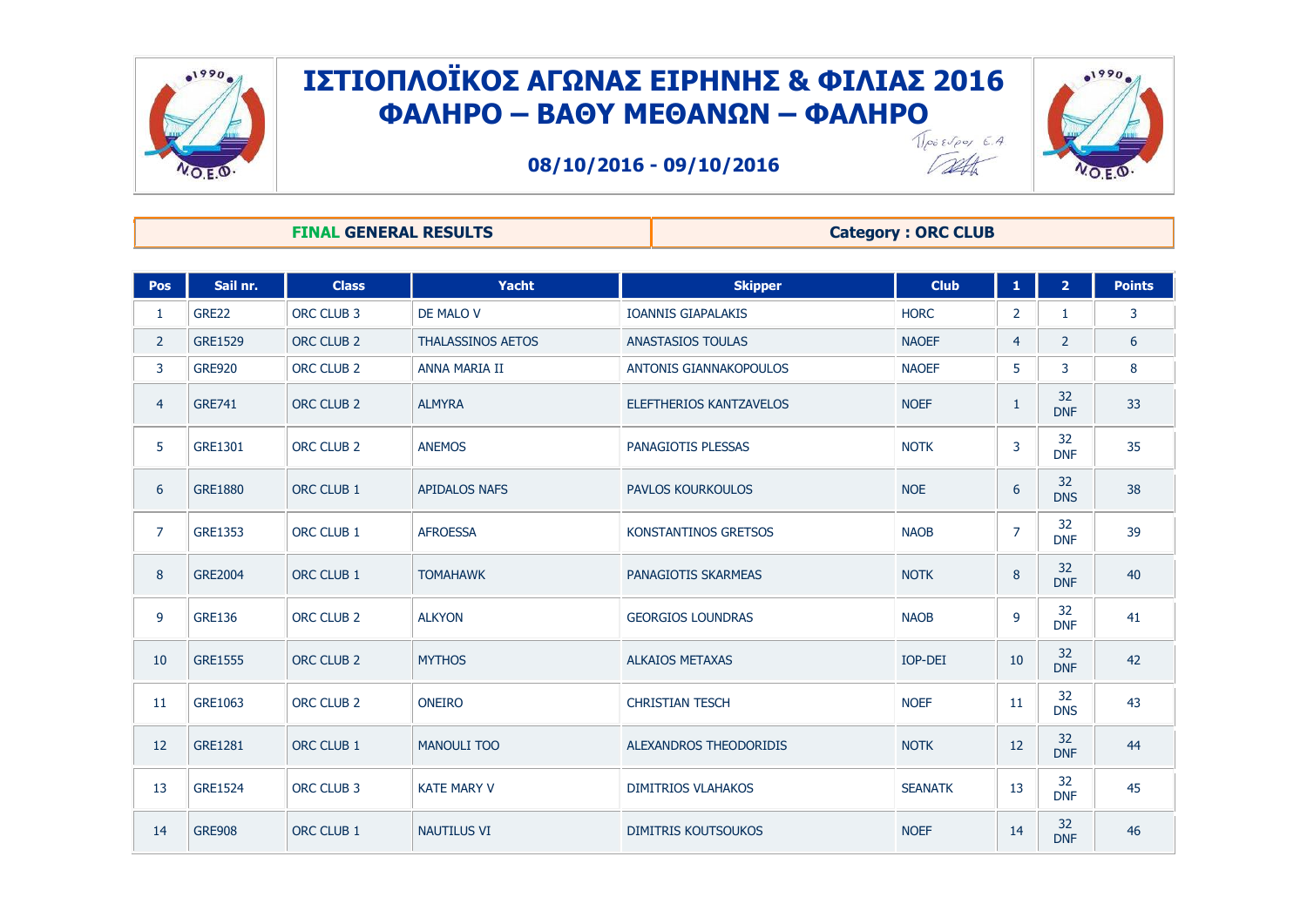



**08/10/2016 - 09/10/2016**



Talk

#### **FINAL GENERAL RESULTS Category : ORC CLUB**

| <b>Pos</b>     | Sail nr.       | <b>Class</b>          | Yacht                    | <b>Skipper</b>              | <b>Club</b>    | $\mathbf{1}$   | 2 <sup>1</sup>   | <b>Points</b> |
|----------------|----------------|-----------------------|--------------------------|-----------------------------|----------------|----------------|------------------|---------------|
| $\mathbf{1}$   | GRE22          | ORC CLUB 3            | DE MALO V                | <b>IOANNIS GIAPALAKIS</b>   | <b>HORC</b>    | $\overline{2}$ | 1                | 3             |
| $\overline{2}$ | <b>GRE1529</b> | ORC CLUB <sub>2</sub> | <b>THALASSINOS AETOS</b> | <b>ANASTASIOS TOULAS</b>    | <b>NAOEF</b>   | 4              | $\overline{2}$   | 6             |
| 3              | <b>GRE920</b>  | ORC CLUB <sub>2</sub> | ANNA MARIA II            | ANTONIS GIANNAKOPOULOS      | <b>NAOEF</b>   | 5              | 3                | 8             |
| $\overline{4}$ | <b>GRE741</b>  | ORC CLUB <sub>2</sub> | <b>ALMYRA</b>            | ELEFTHERIOS KANTZAVELOS     | <b>NOEF</b>    | $\mathbf{1}$   | 32<br><b>DNF</b> | 33            |
| 5              | <b>GRE1301</b> | ORC CLUB <sub>2</sub> | <b>ANEMOS</b>            | PANAGIOTIS PLESSAS          | <b>NOTK</b>    | 3              | 32<br><b>DNF</b> | 35            |
| 6              | <b>GRE1880</b> | ORC CLUB 1            | <b>APIDALOS NAFS</b>     | <b>PAVLOS KOURKOULOS</b>    | <b>NOE</b>     | 6              | 32<br><b>DNS</b> | 38            |
| $\overline{7}$ | <b>GRE1353</b> | ORC CLUB 1            | <b>AFROESSA</b>          | <b>KONSTANTINOS GRETSOS</b> | <b>NAOB</b>    | $\overline{7}$ | 32<br><b>DNF</b> | 39            |
| 8              | <b>GRE2004</b> | ORC CLUB 1            | <b>TOMAHAWK</b>          | PANAGIOTIS SKARMEAS         | <b>NOTK</b>    | 8              | 32<br><b>DNF</b> | 40            |
| 9              | <b>GRE136</b>  | ORC CLUB <sub>2</sub> | <b>ALKYON</b>            | <b>GEORGIOS LOUNDRAS</b>    | <b>NAOB</b>    | 9              | 32<br><b>DNF</b> | 41            |
| 10             | <b>GRE1555</b> | ORC CLUB <sub>2</sub> | <b>MYTHOS</b>            | <b>ALKAIOS METAXAS</b>      | IOP-DEI        | 10             | 32<br><b>DNF</b> | 42            |
| 11             | GRE1063        | ORC CLUB <sub>2</sub> | <b>ONEIRO</b>            | <b>CHRISTIAN TESCH</b>      | <b>NOEF</b>    | 11             | 32<br><b>DNS</b> | 43            |
| 12             | <b>GRE1281</b> | ORC CLUB 1            | <b>MANOULI TOO</b>       | ALEXANDROS THEODORIDIS      | <b>NOTK</b>    | 12             | 32<br><b>DNF</b> | 44            |
| 13             | <b>GRE1524</b> | ORC CLUB 3            | <b>KATE MARY V</b>       | <b>DIMITRIOS VLAHAKOS</b>   | <b>SEANATK</b> | 13             | 32<br><b>DNF</b> | 45            |
| 14             | <b>GRE908</b>  | ORC CLUB 1            | <b>NAUTILUS VI</b>       | <b>DIMITRIS KOUTSOUKOS</b>  | <b>NOEF</b>    | 14             | 32<br><b>DNF</b> | 46            |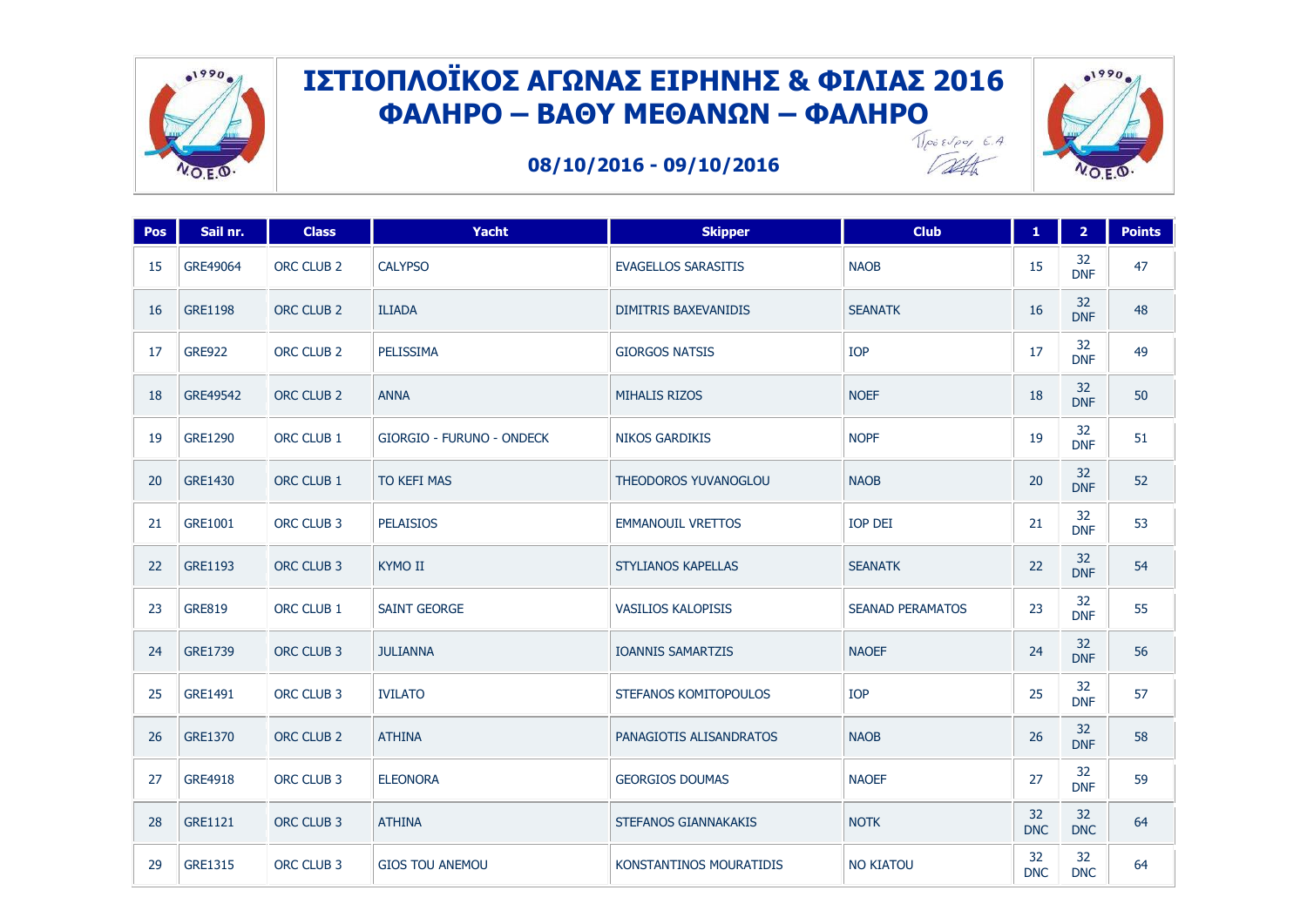

**08/10/2016 - 09/10/2016**



Talt

| Pos | Sail nr.       | <b>Class</b>          | Yacht                            | <b>Skipper</b>              | <b>Club</b>             | $\mathbf{1}$     | 2 <sup>1</sup>   | <b>Points</b> |
|-----|----------------|-----------------------|----------------------------------|-----------------------------|-------------------------|------------------|------------------|---------------|
| 15  | GRE49064       | ORC CLUB 2            | <b>CALYPSO</b>                   | <b>EVAGELLOS SARASITIS</b>  | <b>NAOB</b>             | 15               | 32<br><b>DNF</b> | 47            |
| 16  | <b>GRE1198</b> | ORC CLUB 2            | <b>ILIADA</b>                    | <b>DIMITRIS BAXEVANIDIS</b> | <b>SEANATK</b>          | 16               | 32<br><b>DNF</b> | 48            |
| 17  | <b>GRE922</b>  | ORC CLUB <sub>2</sub> | PELISSIMA                        | <b>GIORGOS NATSIS</b>       | IOP                     | 17               | 32<br><b>DNF</b> | 49            |
| 18  | GRE49542       | ORC CLUB 2            | <b>ANNA</b>                      | <b>MIHALIS RIZOS</b>        | <b>NOEF</b>             | 18               | 32<br><b>DNF</b> | 50            |
| 19  | <b>GRE1290</b> | ORC CLUB 1            | <b>GIORGIO - FURUNO - ONDECK</b> | <b>NIKOS GARDIKIS</b>       | <b>NOPF</b>             | 19               | 32<br><b>DNF</b> | 51            |
| 20  | <b>GRE1430</b> | ORC CLUB 1            | <b>TO KEFI MAS</b>               | THEODOROS YUVANOGLOU        | <b>NAOB</b>             | 20               | 32<br><b>DNF</b> | 52            |
| 21  | GRE1001        | ORC CLUB 3            | <b>PELAISIOS</b>                 | <b>EMMANOUIL VRETTOS</b>    | <b>IOP DEI</b>          | 21               | 32<br><b>DNF</b> | 53            |
| 22  | <b>GRE1193</b> | ORC CLUB 3            | <b>KYMO II</b>                   | <b>STYLIANOS KAPELLAS</b>   | <b>SEANATK</b>          | 22               | 32<br><b>DNF</b> | 54            |
| 23  | <b>GRE819</b>  | ORC CLUB 1            | <b>SAINT GEORGE</b>              | VASILIOS KALOPISIS          | <b>SEANAD PERAMATOS</b> | 23               | 32<br><b>DNF</b> | 55            |
| 24  | GRE1739        | ORC CLUB 3            | <b>JULIANNA</b>                  | <b>IOANNIS SAMARTZIS</b>    | <b>NAOEF</b>            | 24               | 32<br><b>DNF</b> | 56            |
| 25  | GRE1491        | ORC CLUB 3            | <b>IVILATO</b>                   | STEFANOS KOMITOPOULOS       | IOP                     | 25               | 32<br><b>DNF</b> | 57            |
| 26  | <b>GRE1370</b> | ORC CLUB <sub>2</sub> | <b>ATHINA</b>                    | PANAGIOTIS ALISANDRATOS     | <b>NAOB</b>             | 26               | 32<br><b>DNF</b> | 58            |
| 27  | GRE4918        | ORC CLUB 3            | <b>ELEONORA</b>                  | <b>GEORGIOS DOUMAS</b>      | <b>NAOEF</b>            | 27               | 32<br><b>DNF</b> | 59            |
| 28  | <b>GRE1121</b> | ORC CLUB 3            | <b>ATHINA</b>                    | STEFANOS GIANNAKAKIS        | <b>NOTK</b>             | 32<br><b>DNC</b> | 32<br><b>DNC</b> | 64            |
| 29  | <b>GRE1315</b> | ORC CLUB 3            | <b>GIOS TOU ANEMOU</b>           | KONSTANTINOS MOURATIDIS     | <b>NO KIATOU</b>        | 32<br><b>DNC</b> | 32<br><b>DNC</b> | 64            |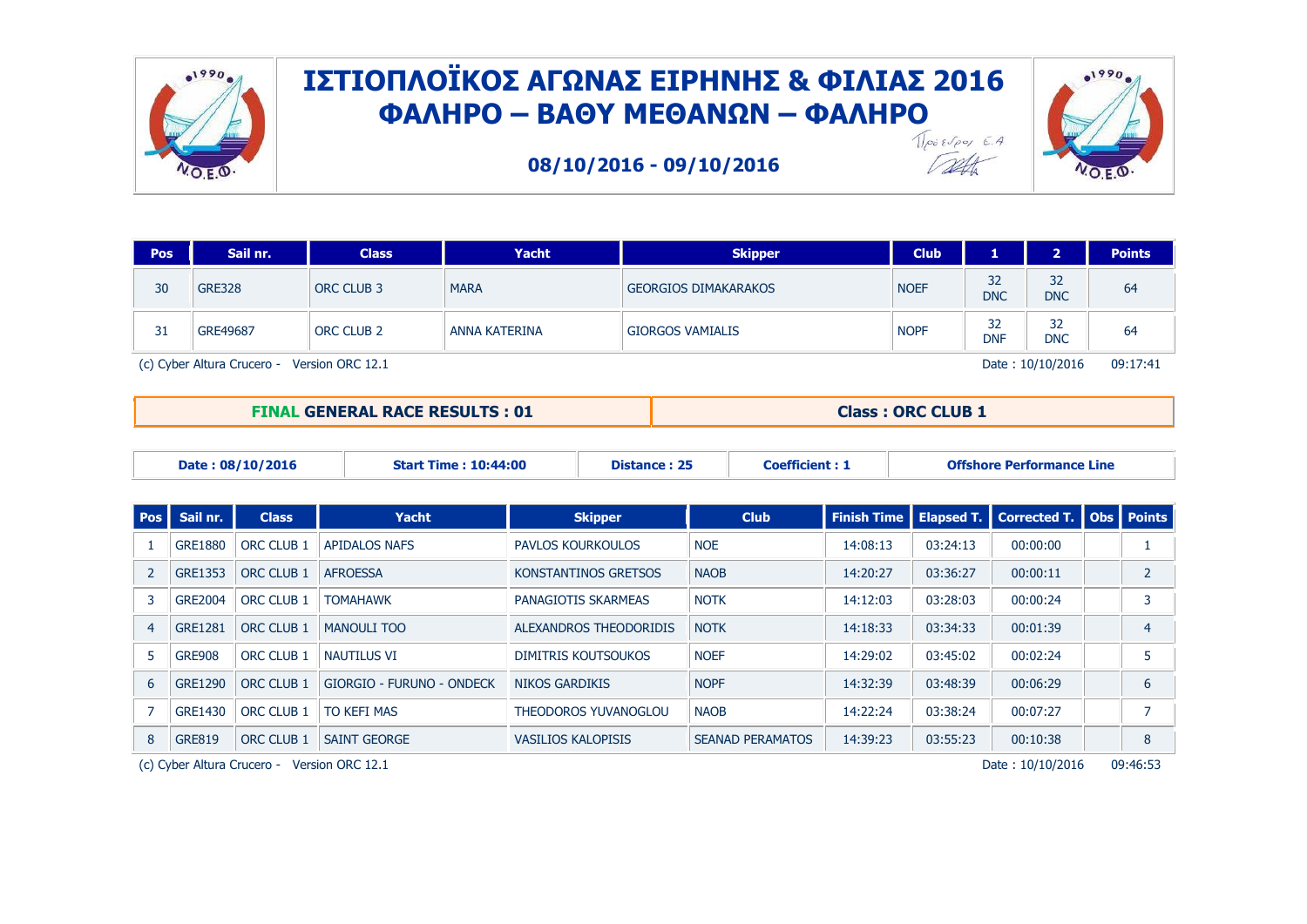

**08/10/2016 - 09/10/2016**



| <b>Pos</b>                                     | Sail nr.      | <b>Class</b>      | Yacht         | <b>Skipper</b>              | <b>Club</b> |                  | $\mathbf{D}$     | <b>Points</b> |
|------------------------------------------------|---------------|-------------------|---------------|-----------------------------|-------------|------------------|------------------|---------------|
| 30                                             | <b>GRE328</b> | <b>ORC CLUB 3</b> | <b>MARA</b>   | <b>GEORGIOS DIMAKARAKOS</b> | <b>NOEF</b> | 32<br><b>DNC</b> | 32<br><b>DNC</b> | 64            |
| 31                                             | GRE49687      | <b>ORC CLUB 2</b> | ANNA KATERINA | <b>GIORGOS VAMIALIS</b>     | <b>NOPF</b> | 32<br><b>DNF</b> | 32<br><b>DNC</b> | 64            |
| (c) Cyber Altura Crucero -<br>Version ORC 12.1 |               |                   |               |                             |             |                  | Date: 10/10/2016 | 09:17:41      |

**FINAL GENERAL RACE RESULTS : 01 Class : ORC CLUB 1**

Talk

|                | Date: 08/10/2016<br><b>Start Time: 10:44:00</b>                             |                   |                           | <b>Coefficient: 1</b><br><b>Distance: 25</b> |                            |                         | <b>Offshore Performance Line</b> |                   |                             |  |                |
|----------------|-----------------------------------------------------------------------------|-------------------|---------------------------|----------------------------------------------|----------------------------|-------------------------|----------------------------------|-------------------|-----------------------------|--|----------------|
|                |                                                                             |                   |                           |                                              |                            |                         |                                  |                   |                             |  |                |
| <b>Pos</b>     | Sail nr.                                                                    | <b>Class</b>      | Yacht                     |                                              | <b>Skipper</b>             | <b>Club</b>             | <b>Finish Time</b>               | <b>Elapsed T.</b> | Corrected T.   Obs   Points |  |                |
|                | <b>GRE1880</b>                                                              | <b>ORC CLUB 1</b> | <b>APIDALOS NAFS</b>      | PAVLOS KOURKOULOS                            |                            | <b>NOE</b>              | 14:08:13                         | 03:24:13          | 00:00:00                    |  |                |
| $\overline{2}$ | <b>GRE1353</b>                                                              | ORC CLUB 1        | <b>AFROESSA</b>           |                                              | KONSTANTINOS GRETSOS       | <b>NAOB</b>             | 14:20:27                         | 03:36:27          | 00:00:11                    |  | $\overline{2}$ |
| 3              | <b>GRE2004</b>                                                              | ORC CLUB 1        | <b>TOMAHAWK</b>           |                                              | PANAGIOTIS SKARMEAS        | <b>NOTK</b>             | 14:12:03                         | 03:28:03          | 00:00:24                    |  | 3              |
| $\overline{4}$ | <b>GRE1281</b>                                                              | ORC CLUB 1        | <b>MANOULI TOO</b>        |                                              | ALEXANDROS THEODORIDIS     | <b>NOTK</b>             | 14:18:33                         | 03:34:33          | 00:01:39                    |  | 4              |
| 5              | <b>GRE908</b>                                                               | ORC CLUB 1        | NAUTILUS VI               |                                              | <b>DIMITRIS KOUTSOUKOS</b> | <b>NOEF</b>             | 14:29:02                         | 03:45:02          | 00:02:24                    |  | 5              |
| 6              | <b>GRE1290</b>                                                              | ORC CLUB 1        | GIORGIO - FURUNO - ONDECK | <b>NIKOS GARDIKIS</b>                        |                            | <b>NOPF</b>             | 14:32:39                         | 03:48:39          | 00:06:29                    |  | 6              |
|                | <b>GRE1430</b>                                                              | ORC CLUB 1        | <b>TO KEFI MAS</b>        |                                              | THEODOROS YUVANOGLOU       | <b>NAOB</b>             | 14:22:24                         | 03:38:24          | 00:07:27                    |  | 7              |
| 8              | <b>GRE819</b>                                                               | ORC CLUB 1        | <b>SAINT GEORGE</b>       | <b>VASILIOS KALOPISIS</b>                    |                            | <b>SEANAD PERAMATOS</b> | 14:39:23                         | 03:55:23          | 00:10:38                    |  | 8              |
|                | 09:46:53<br>(c) Cyber Altura Crucero - Version ORC 12.1<br>Date: 10/10/2016 |                   |                           |                                              |                            |                         |                                  |                   |                             |  |                |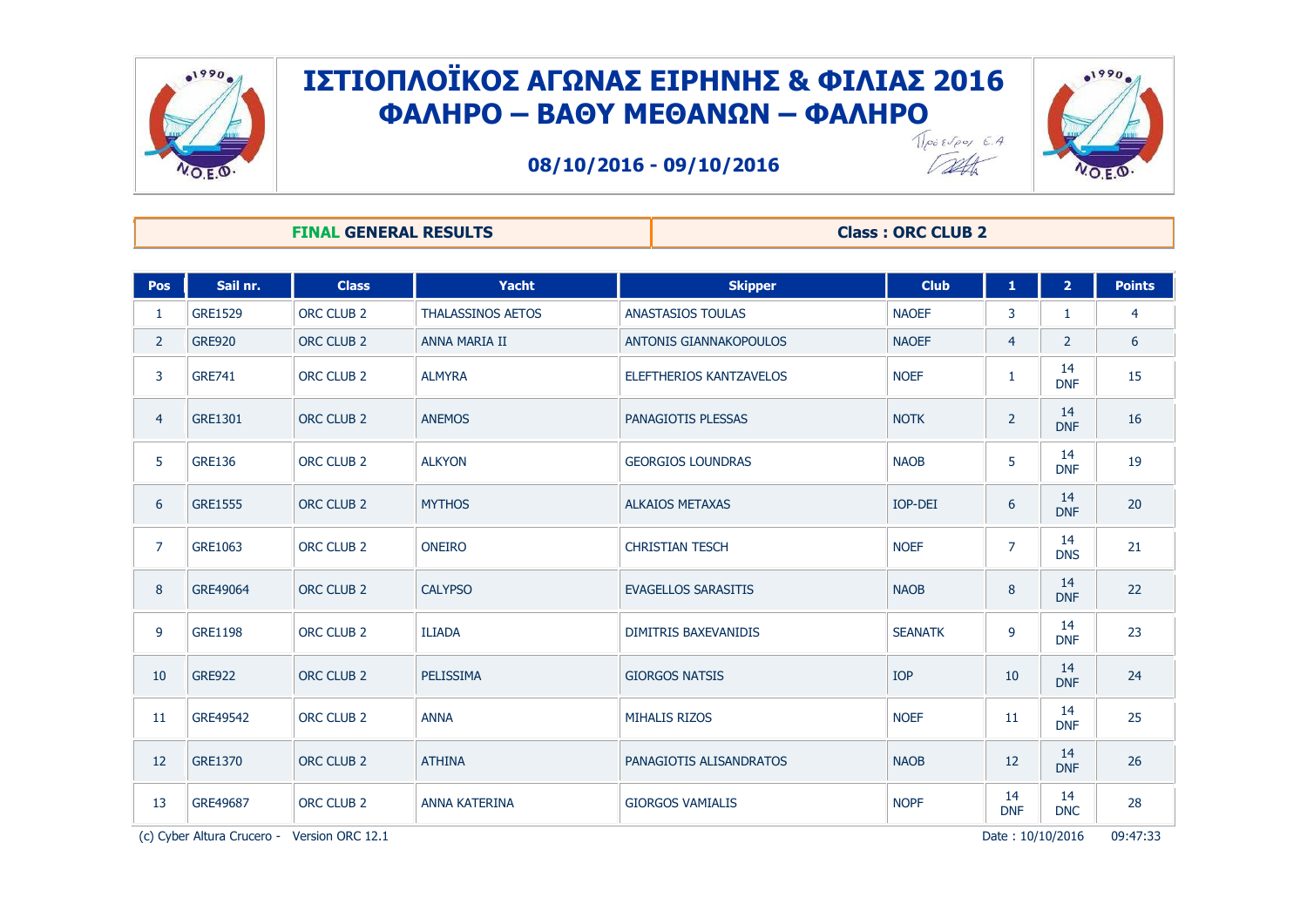



**08/10/2016 - 09/10/2016**



1990

**FINAL GENERAL RESULTS Class : ORC CLUB 2** 

| Pos            | Sail nr.                                                                       | <b>Class</b>          | Yacht                    | <b>Skipper</b>                 | <b>Club</b>    | 1                | 2 <sup>1</sup>   | <b>Points</b> |
|----------------|--------------------------------------------------------------------------------|-----------------------|--------------------------|--------------------------------|----------------|------------------|------------------|---------------|
| $\mathbf{1}$   | <b>GRE1529</b>                                                                 | ORC CLUB <sub>2</sub> | <b>THALASSINOS AETOS</b> | <b>ANASTASIOS TOULAS</b>       | <b>NAOEF</b>   | 3                | 1                | 4             |
| $\overline{2}$ | <b>GRE920</b>                                                                  | ORC CLUB <sub>2</sub> | ANNA MARIA II            | <b>ANTONIS GIANNAKOPOULOS</b>  | <b>NAOEF</b>   | $\overline{4}$   | $\overline{2}$   | 6             |
| 3              | <b>GRE741</b>                                                                  | ORC CLUB 2            | <b>ALMYRA</b>            | <b>ELEFTHERIOS KANTZAVELOS</b> | <b>NOEF</b>    | $\mathbf{1}$     | 14<br><b>DNF</b> | 15            |
| 4              | <b>GRE1301</b>                                                                 | ORC CLUB <sub>2</sub> | <b>ANEMOS</b>            | PANAGIOTIS PLESSAS             | <b>NOTK</b>    | $\overline{2}$   | 14<br><b>DNF</b> | 16            |
| 5              | <b>GRE136</b>                                                                  | ORC CLUB <sub>2</sub> | <b>ALKYON</b>            | <b>GEORGIOS LOUNDRAS</b>       | <b>NAOB</b>    | 5                | 14<br><b>DNF</b> | 19            |
| 6              | <b>GRE1555</b>                                                                 | ORC CLUB <sub>2</sub> | <b>MYTHOS</b>            | <b>ALKAIOS METAXAS</b>         | IOP-DEI        | 6                | 14<br><b>DNF</b> | 20            |
| $\overline{7}$ | GRE1063                                                                        | ORC CLUB <sub>2</sub> | <b>ONEIRO</b>            | <b>CHRISTIAN TESCH</b>         | <b>NOEF</b>    | $\overline{7}$   | 14<br><b>DNS</b> | 21            |
| 8              | GRE49064                                                                       | ORC CLUB <sub>2</sub> | <b>CALYPSO</b>           | <b>EVAGELLOS SARASITIS</b>     | <b>NAOB</b>    | 8                | 14<br><b>DNF</b> | 22            |
| 9              | <b>GRE1198</b>                                                                 | ORC CLUB <sub>2</sub> | <b>ILIADA</b>            | <b>DIMITRIS BAXEVANIDIS</b>    | <b>SEANATK</b> | 9                | 14<br><b>DNF</b> | 23            |
| 10             | <b>GRE922</b>                                                                  | ORC CLUB <sub>2</sub> | PELISSIMA                | <b>GIORGOS NATSIS</b>          | <b>IOP</b>     | 10               | 14<br><b>DNF</b> | 24            |
| 11             | GRE49542                                                                       | ORC CLUB <sub>2</sub> | <b>ANNA</b>              | <b>MIHALIS RIZOS</b>           | <b>NOEF</b>    | 11               | 14<br><b>DNF</b> | 25            |
| 12             | <b>GRE1370</b>                                                                 | ORC CLUB <sub>2</sub> | <b>ATHINA</b>            | PANAGIOTIS ALISANDRATOS        | <b>NAOB</b>    | 12               | 14<br><b>DNF</b> | 26            |
| 13             | GRE49687                                                                       | ORC CLUB <sub>2</sub> | <b>ANNA KATERINA</b>     | <b>GIORGOS VAMIALIS</b>        | <b>NOPF</b>    | 14<br><b>DNF</b> | 14<br><b>DNC</b> | 28            |
|                | 09:47:33<br>(c) Cyber Altura Crucero -<br>Version ORC 12.1<br>Date: 10/10/2016 |                       |                          |                                |                |                  |                  |               |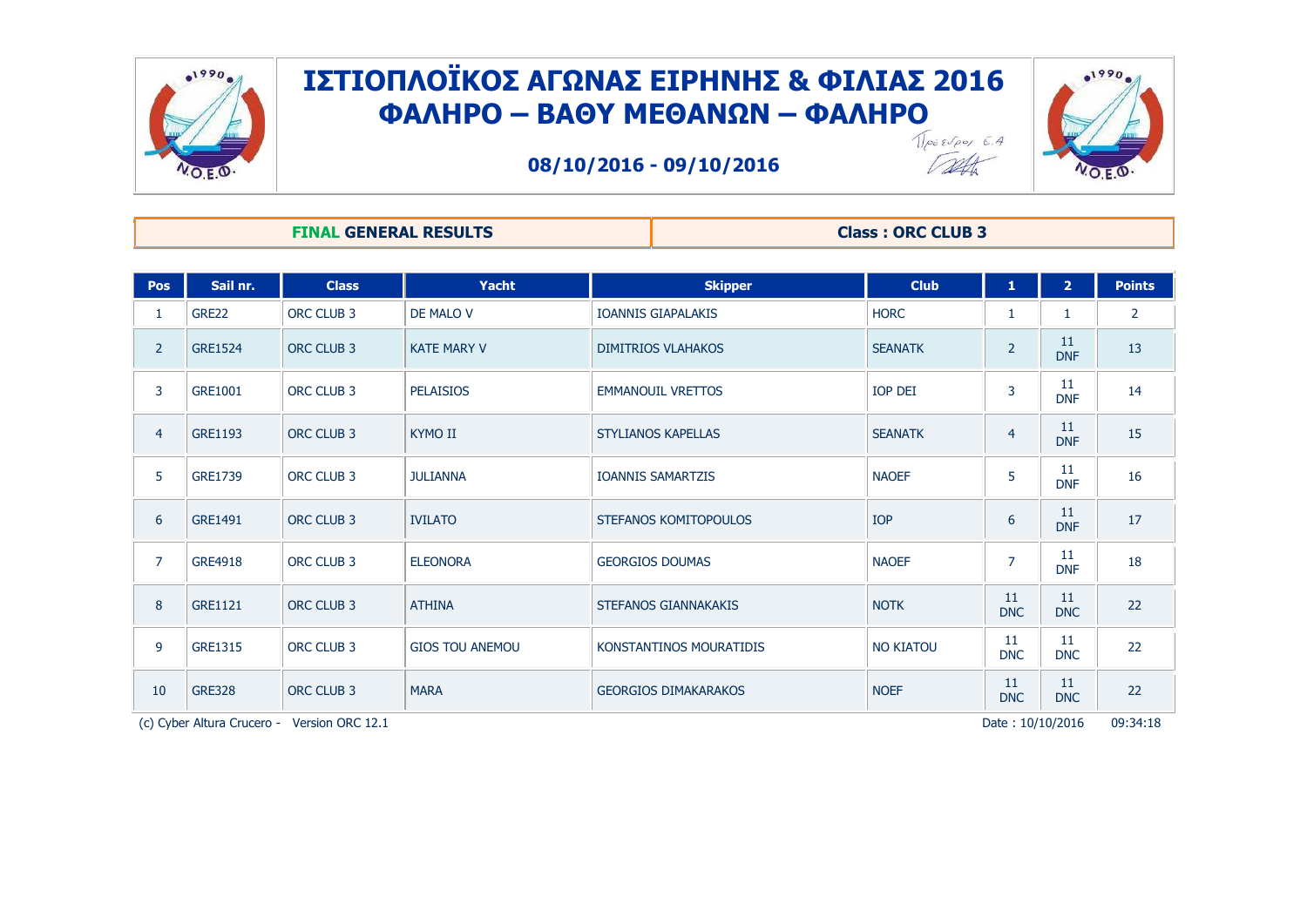



 $.1990$ 

**08/10/2016 - 09/10/2016**

#### **FINAL GENERAL RESULTS Class : ORC CLUB 3**

| Pos                                                                            | Sail nr.       | <b>Class</b>      | <b>Yacht</b>           | <b>Skipper</b>              | <b>Club</b>      | $\mathbf{1}$     | 2 <sup>1</sup>   | <b>Points</b>  |
|--------------------------------------------------------------------------------|----------------|-------------------|------------------------|-----------------------------|------------------|------------------|------------------|----------------|
| 1                                                                              | GRE22          | ORC CLUB 3        | DE MALO V              | <b>IOANNIS GIAPALAKIS</b>   | <b>HORC</b>      |                  |                  | $\overline{2}$ |
| $\overline{2}$                                                                 | <b>GRE1524</b> | ORC CLUB 3        | <b>KATE MARY V</b>     | <b>DIMITRIOS VLAHAKOS</b>   | <b>SEANATK</b>   | $\overline{2}$   | 11<br><b>DNF</b> | 13             |
| 3                                                                              | GRE1001        | ORC CLUB 3        | <b>PELAISIOS</b>       | <b>EMMANOUIL VRETTOS</b>    | IOP DEI          | 3                | 11<br><b>DNF</b> | 14             |
| $\overline{4}$                                                                 | <b>GRE1193</b> | ORC CLUB 3        | <b>KYMO II</b>         | <b>STYLIANOS KAPELLAS</b>   | <b>SEANATK</b>   | $\overline{4}$   | 11<br><b>DNF</b> | 15             |
| 5                                                                              | <b>GRE1739</b> | ORC CLUB 3        | <b>JULIANNA</b>        | <b>IOANNIS SAMARTZIS</b>    | <b>NAOEF</b>     | 5                | 11<br><b>DNF</b> | 16             |
| 6                                                                              | <b>GRE1491</b> | ORC CLUB 3        | <b>IVILATO</b>         | STEFANOS KOMITOPOULOS       | <b>IOP</b>       | 6                | 11<br><b>DNF</b> | 17             |
| $\overline{7}$                                                                 | <b>GRE4918</b> | ORC CLUB 3        | <b>ELEONORA</b>        | <b>GEORGIOS DOUMAS</b>      | <b>NAOEF</b>     | $\overline{7}$   | 11<br><b>DNF</b> | 18             |
| 8                                                                              | <b>GRE1121</b> | ORC CLUB 3        | <b>ATHINA</b>          | <b>STEFANOS GIANNAKAKIS</b> | <b>NOTK</b>      | 11<br><b>DNC</b> | 11<br><b>DNC</b> | 22             |
| 9                                                                              | <b>GRE1315</b> | ORC CLUB 3        | <b>GIOS TOU ANEMOU</b> | KONSTANTINOS MOURATIDIS     | <b>NO KIATOU</b> | 11<br><b>DNC</b> | 11<br><b>DNC</b> | 22             |
| 10                                                                             | <b>GRE328</b>  | <b>ORC CLUB 3</b> | <b>MARA</b>            | <b>GEORGIOS DIMAKARAKOS</b> | <b>NOEF</b>      | 11<br><b>DNC</b> | 11<br><b>DNC</b> | 22             |
| Date: 10/10/2016<br>(c) Cyber Altura Crucero -<br>Version ORC 12.1<br>09:34:18 |                |                   |                        |                             |                  |                  |                  |                |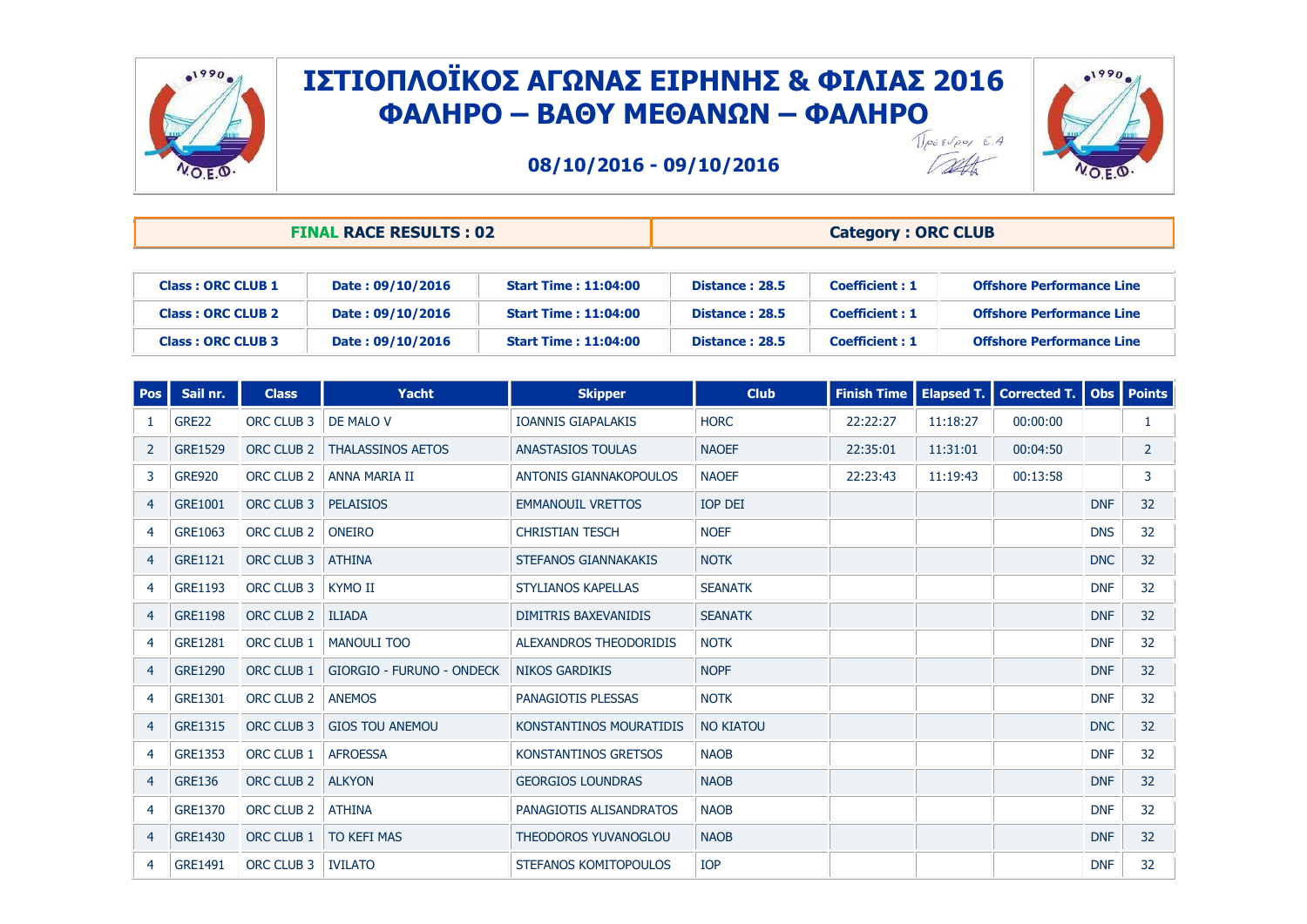



**08/10/2016 - 09/10/2016**

Talt

| <b>FINAL RACE RESULTS : 02</b> |                  |                |  | <b>Category: ORC CLUB</b> |       |          |  |  |  |  |
|--------------------------------|------------------|----------------|--|---------------------------|-------|----------|--|--|--|--|
|                                |                  |                |  |                           |       |          |  |  |  |  |
|                                | <b>AAJJAJAJA</b> | ------<br>____ |  | ---                       | _____ | $\cdots$ |  |  |  |  |

| <b>Class: ORC CLUB 1</b> | Date: 09/10/2016 | <b>Start Time: 11:04:00</b>  | Distance: 28.5 | <b>Coefficient : 1</b> | <b>Offshore Performance Line</b> |
|--------------------------|------------------|------------------------------|----------------|------------------------|----------------------------------|
| <b>Class: ORC CLUB 2</b> | Date: 09/10/2016 | <b>Start Time : 11:04:00</b> | Distance: 28.5 | <b>Coefficient : 1</b> | <b>Offshore Performance Line</b> |
| <b>Class: ORC CLUB 3</b> | Date: 09/10/2016 | <b>Start Time : 11:04:00</b> | Distance: 28.5 | <b>Coefficient: 1</b>  | <b>Offshore Performance Line</b> |

| <b>Pos</b>     | Sail nr.       | <b>Class</b>          | <b>Yacht</b>                     | <b>Skipper</b>                | <b>Club</b>      | <b>Finish Time</b> | <b>Elapsed T.</b> | <b>Corrected T.</b> |            | Obs   Points |
|----------------|----------------|-----------------------|----------------------------------|-------------------------------|------------------|--------------------|-------------------|---------------------|------------|--------------|
|                | <b>GRE22</b>   | ORC CLUB 3            | DE MALO V                        | <b>IOANNIS GIAPALAKIS</b>     | <b>HORC</b>      | 22:22:27           | 11:18:27          | 00:00:00            |            | 1            |
| 2              | <b>GRE1529</b> | ORC CLUB 2            | <b>THALASSINOS AETOS</b>         | <b>ANASTASIOS TOULAS</b>      | <b>NAOEF</b>     | 22:35:01           | 11:31:01          | 00:04:50            |            | 2            |
| 3              | <b>GRE920</b>  | ORC CLUB <sub>2</sub> | ANNA MARIA II                    | <b>ANTONIS GIANNAKOPOULOS</b> | <b>NAOEF</b>     | 22:23:43           | 11:19:43          | 00:13:58            |            | 3            |
| 4              | GRE1001        | ORC CLUB 3            | <b>PELAISIOS</b>                 | <b>EMMANOUIL VRETTOS</b>      | <b>IOP DEI</b>   |                    |                   |                     | <b>DNF</b> | 32           |
| 4              | GRE1063        | ORC CLUB 2            | <b>ONEIRO</b>                    | <b>CHRISTIAN TESCH</b>        | <b>NOEF</b>      |                    |                   |                     | <b>DNS</b> | 32           |
| 4              | <b>GRE1121</b> | ORC CLUB 3            | <b>ATHINA</b>                    | STEFANOS GIANNAKAKIS          | <b>NOTK</b>      |                    |                   |                     | <b>DNC</b> | 32           |
| 4              | <b>GRE1193</b> | ORC CLUB 3            | <b>KYMO II</b>                   | <b>STYLIANOS KAPELLAS</b>     | <b>SEANATK</b>   |                    |                   |                     | <b>DNF</b> | 32           |
| 4              | <b>GRE1198</b> | ORC CLUB 2            | <b>ILIADA</b>                    | <b>DIMITRIS BAXEVANIDIS</b>   | <b>SEANATK</b>   |                    |                   |                     | <b>DNF</b> | 32           |
| 4              | <b>GRE1281</b> | ORC CLUB 1            | <b>MANOULI TOO</b>               | ALEXANDROS THEODORIDIS        | <b>NOTK</b>      |                    |                   |                     | <b>DNF</b> | 32           |
| $\overline{4}$ | <b>GRE1290</b> | ORC CLUB 1            | <b>GIORGIO - FURUNO - ONDECK</b> | <b>NIKOS GARDIKIS</b>         | <b>NOPF</b>      |                    |                   |                     | <b>DNF</b> | 32           |
| 4              | GRE1301        | ORC CLUB <sub>2</sub> | <b>ANEMOS</b>                    | PANAGIOTIS PLESSAS            | <b>NOTK</b>      |                    |                   |                     | <b>DNF</b> | 32           |
| $\overline{4}$ | GRE1315        | ORC CLUB 3            | <b>GIOS TOU ANEMOU</b>           | KONSTANTINOS MOURATIDIS       | <b>NO KIATOU</b> |                    |                   |                     | <b>DNC</b> | 32           |
| 4              | <b>GRE1353</b> | ORC CLUB 1            | <b>AFROESSA</b>                  | KONSTANTINOS GRETSOS          | <b>NAOB</b>      |                    |                   |                     | <b>DNF</b> | 32           |
| 4              | <b>GRE136</b>  | ORC CLUB 2            | <b>ALKYON</b>                    | <b>GEORGIOS LOUNDRAS</b>      | <b>NAOB</b>      |                    |                   |                     | <b>DNF</b> | 32           |
| 4              | <b>GRE1370</b> | ORC CLUB <sub>2</sub> | <b>ATHINA</b>                    | PANAGIOTIS ALISANDRATOS       | <b>NAOB</b>      |                    |                   |                     | <b>DNF</b> | 32           |
| 4              | <b>GRE1430</b> | ORC CLUB 1            | <b>TO KEFI MAS</b>               | <b>THEODOROS YUVANOGLOU</b>   | <b>NAOB</b>      |                    |                   |                     | <b>DNF</b> | 32           |
| 4              | <b>GRE1491</b> | ORC CLUB 3            | <b>IVILATO</b>                   | STEFANOS KOMITOPOULOS         | <b>IOP</b>       |                    |                   |                     | <b>DNF</b> | 32           |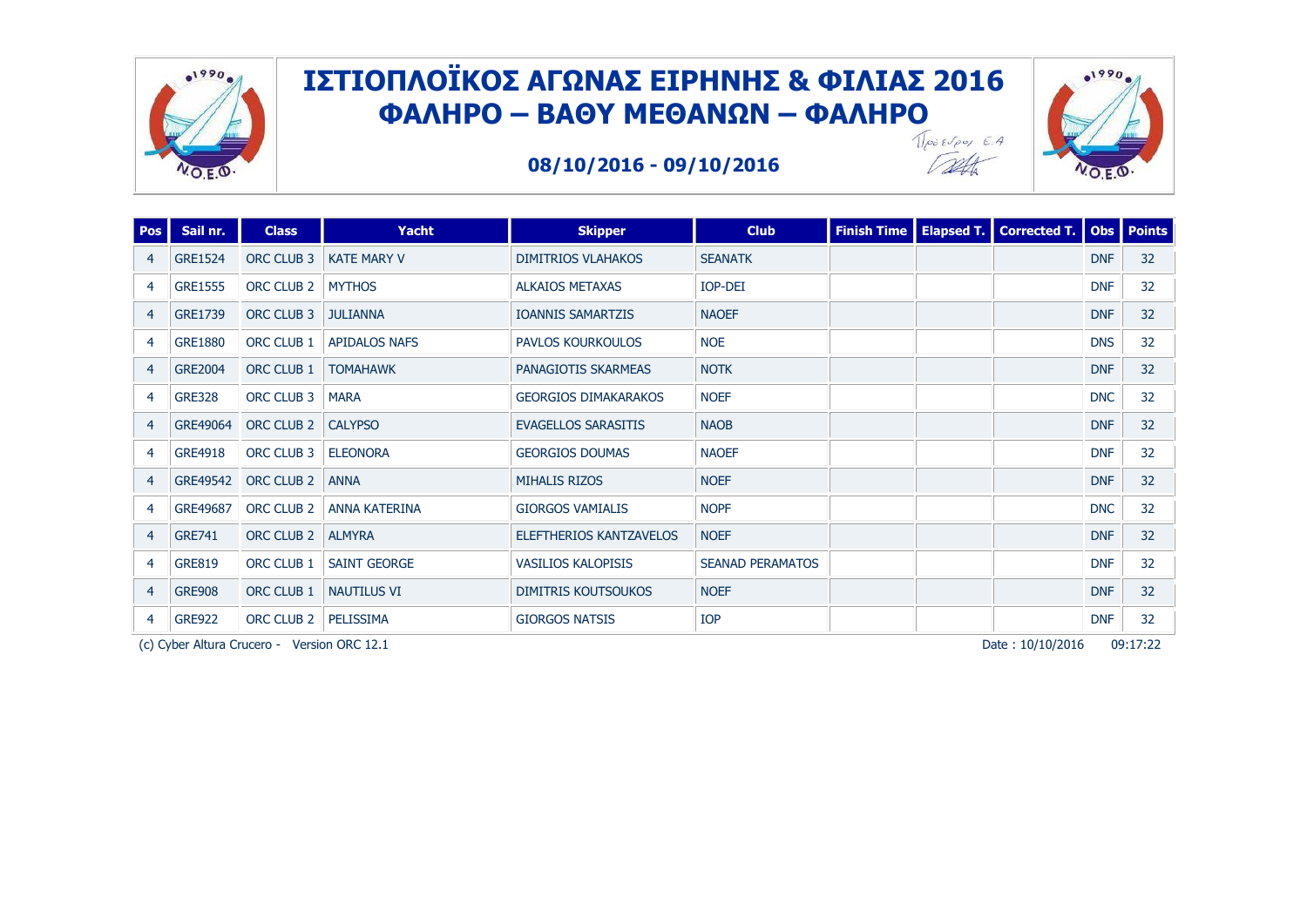

Talk





| <b>Pos</b>     | Sail nr.       | <b>Class</b> | Yacht                | <b>Skipper</b>              | <b>Club</b>             |  | Finish Time   Elapsed T.   Corrected T.   Obs   Points |            |                 |
|----------------|----------------|--------------|----------------------|-----------------------------|-------------------------|--|--------------------------------------------------------|------------|-----------------|
| 4              | <b>GRE1524</b> | ORC CLUB 3   | <b>KATE MARY V</b>   | <b>DIMITRIOS VLAHAKOS</b>   | <b>SEANATK</b>          |  |                                                        | <b>DNF</b> | 32 <sup>2</sup> |
| 4              | <b>GRE1555</b> | ORC CLUB 2   | <b>MYTHOS</b>        | <b>ALKAIOS METAXAS</b>      | <b>IOP-DEI</b>          |  |                                                        | <b>DNF</b> | 32              |
| $\overline{4}$ | GRE1739        | ORC CLUB 3   | <b>JULIANNA</b>      | <b>IOANNIS SAMARTZIS</b>    | <b>NAOEF</b>            |  |                                                        | <b>DNF</b> | 32              |
| 4              | <b>GRE1880</b> | ORC CLUB 1   | <b>APIDALOS NAFS</b> | PAVLOS KOURKOULOS           | <b>NOE</b>              |  |                                                        | <b>DNS</b> | 32              |
| $\overline{4}$ | <b>GRE2004</b> | ORC CLUB 1   | <b>TOMAHAWK</b>      | <b>PANAGIOTIS SKARMEAS</b>  | <b>NOTK</b>             |  |                                                        | <b>DNF</b> | 32              |
| 4              | <b>GRE328</b>  | ORC CLUB 3   | <b>MARA</b>          | <b>GEORGIOS DIMAKARAKOS</b> | <b>NOEF</b>             |  |                                                        | <b>DNC</b> | 32              |
| $\overline{4}$ | GRE49064       | ORC CLUB 2   | <b>CALYPSO</b>       | <b>EVAGELLOS SARASITIS</b>  | <b>NAOB</b>             |  |                                                        | <b>DNF</b> | 32              |
| 4              | GRE4918        | ORC CLUB 3   | <b>ELEONORA</b>      | <b>GEORGIOS DOUMAS</b>      | <b>NAOEF</b>            |  |                                                        | <b>DNF</b> | 32              |
| 4              | GRE49542       | ORC CLUB 2   | <b>ANNA</b>          | <b>MIHALIS RIZOS</b>        | <b>NOEF</b>             |  |                                                        | <b>DNF</b> | 32              |
| 4              | GRE49687       | ORC CLUB 2   | <b>ANNA KATERINA</b> | <b>GIORGOS VAMIALIS</b>     | <b>NOPF</b>             |  |                                                        | <b>DNC</b> | 32              |
| 4              | <b>GRE741</b>  | ORC CLUB 2   | <b>ALMYRA</b>        | ELEFTHERIOS KANTZAVELOS     | <b>NOEF</b>             |  |                                                        | <b>DNF</b> | 32              |
| $\overline{4}$ | <b>GRE819</b>  | ORC CLUB 1   | <b>SAINT GEORGE</b>  | <b>VASILIOS KALOPISIS</b>   | <b>SEANAD PERAMATOS</b> |  |                                                        | <b>DNF</b> | 32              |
| 4              | <b>GRE908</b>  | ORC CLUB 1   | <b>NAUTILUS VI</b>   | <b>DIMITRIS KOUTSOUKOS</b>  | <b>NOEF</b>             |  |                                                        | <b>DNF</b> | 32              |
| 4              | <b>GRE922</b>  | ORC CLUB 2   | PELISSIMA            | <b>GIORGOS NATSIS</b>       | <b>IOP</b>              |  |                                                        | <b>DNF</b> | 32              |

(c) Cyber Altura Crucero - Version ORC 12.1 **Page 12.1** Page 12.1 Page 12.1 Page 12.1 Page 19:17:22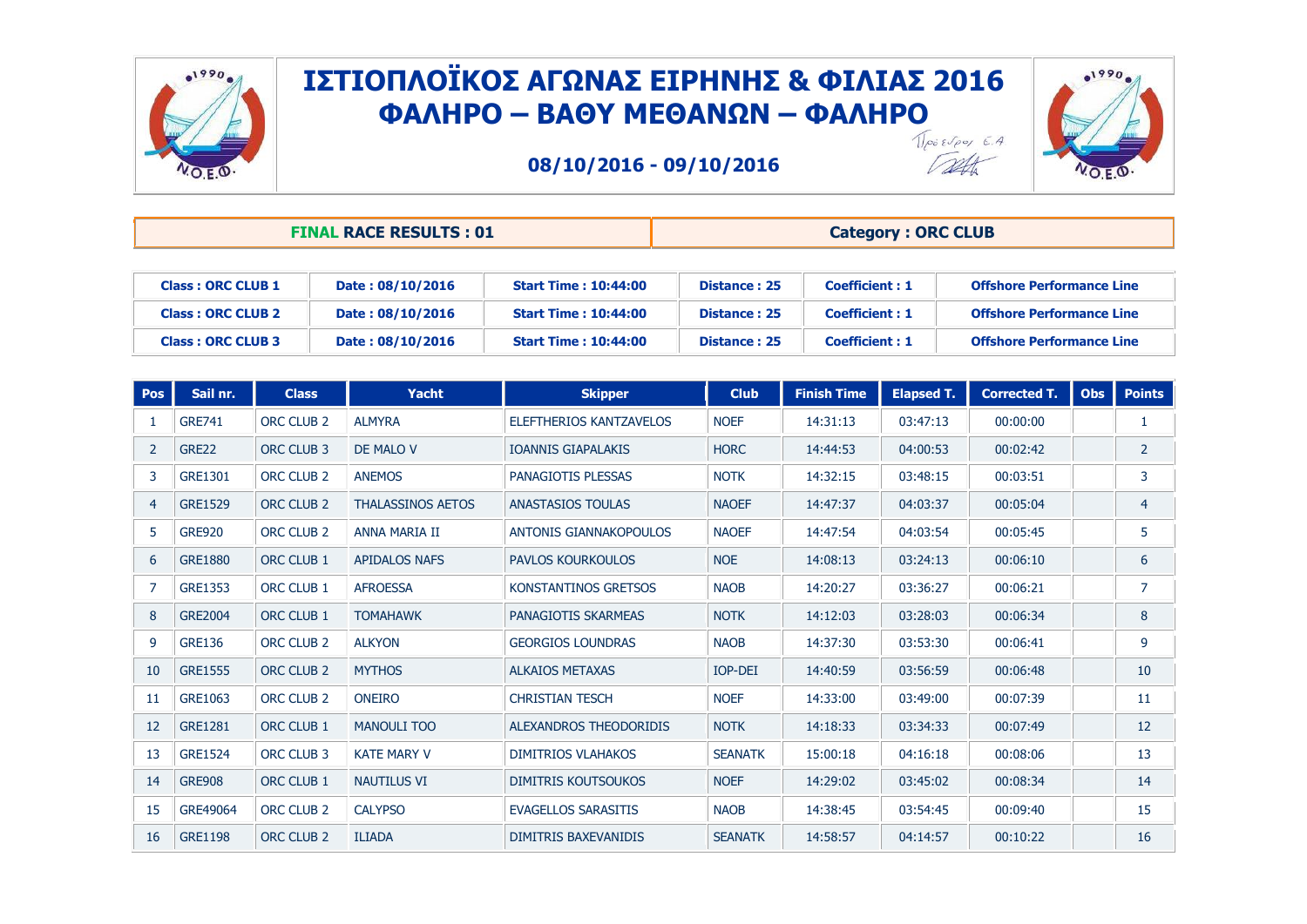



**08/10/2016 - 09/10/2016**

Talk

|                          | <b>FINAL RACE RESULTS: 01</b> |                             | <b>Category: ORC CLUB</b> |                       |                                  |  |  |
|--------------------------|-------------------------------|-----------------------------|---------------------------|-----------------------|----------------------------------|--|--|
|                          |                               |                             |                           |                       |                                  |  |  |
| Class: ORC CLUB 1        | Date: 08/10/2016              | <b>Start Time: 10:44:00</b> | Distance: 25              | <b>Coefficient: 1</b> | <b>Offshore Performance Line</b> |  |  |
| <b>Class: ORC CLUB 2</b> | Date: 08/10/2016              | <b>Start Time: 10:44:00</b> | Distance: 25              | <b>Coefficient: 1</b> | <b>Offshore Performance Line</b> |  |  |

|     | <b>Class: ORC CLUB 3</b><br>Date: 08/10/2016 |                       |                          | <b>Start Time: 10:44:00</b><br>Distance: 25 |              |                    | <b>Coefficient: 1</b> |                     | <b>Offshore Performance Line</b> |                   |  |
|-----|----------------------------------------------|-----------------------|--------------------------|---------------------------------------------|--------------|--------------------|-----------------------|---------------------|----------------------------------|-------------------|--|
|     |                                              |                       |                          |                                             |              |                    |                       |                     |                                  |                   |  |
| Pos | Sail nr.                                     | <b>Class</b>          | Yacht                    | <b>Skipper</b>                              | <b>Club</b>  | <b>Finish Time</b> | <b>Elapsed T.</b>     | <b>Corrected T.</b> |                                  | <b>Obs</b> Points |  |
|     | <b>GRE741</b>                                | ORC CLUB <sub>2</sub> | <b>ALMYRA</b>            | ELEFTHERIOS KANTZAVELOS                     | <b>NOEF</b>  | 14:31:13           | 03:47:13              | 00:00:00            |                                  |                   |  |
|     | GRE22                                        | ORC CLUB 3            | <b>DE MALO V</b>         | <b>IOANNIS GIAPALAKIS</b>                   | <b>HORC</b>  | 14:44:53           | 04:00:53              | 00:02:42            |                                  |                   |  |
|     | GRE1301                                      | ORC CLUB <sub>2</sub> | <b>ANEMOS</b>            | PANAGIOTIS PLESSAS                          | <b>NOTK</b>  | 14:32:15           | 03:48:15              | 00:03:51            |                                  |                   |  |
| 4   | <b>GRE1529</b>                               | ORC CLUB <sub>2</sub> | <b>THALASSINOS AETOS</b> | <b>ANASTASIOS TOULAS</b>                    | <b>NAOEF</b> | 14:47:37           | 04:03:37              | 00:05:04            |                                  | 4                 |  |
|     |                                              |                       |                          |                                             |              |                    |                       |                     |                                  |                   |  |

| 3                 | GRE1301        | ORC CLUB <sub>2</sub> | <b>ANEMOS</b>            | PANAGIOTIS PLESSAS         | <b>NOTK</b>    | 14:32:15 | 03:48:15 | 00:03:51 | 3               |
|-------------------|----------------|-----------------------|--------------------------|----------------------------|----------------|----------|----------|----------|-----------------|
| 4                 | <b>GRE1529</b> | ORC CLUB 2            | <b>THALASSINOS AETOS</b> | <b>ANASTASIOS TOULAS</b>   | <b>NAOEF</b>   | 14:47:37 | 04:03:37 | 00:05:04 | 4               |
| 5                 | <b>GRE920</b>  | ORC CLUB 2            | ANNA MARIA II            | ANTONIS GIANNAKOPOULOS     | <b>NAOEF</b>   | 14:47:54 | 04:03:54 | 00:05:45 | 5               |
| 6                 | <b>GRE1880</b> | ORC CLUB 1            | <b>APIDALOS NAFS</b>     | <b>PAVLOS KOURKOULOS</b>   | <b>NOE</b>     | 14:08:13 | 03:24:13 | 00:06:10 | 6               |
|                   | <b>GRE1353</b> | ORC CLUB 1            | <b>AFROESSA</b>          | KONSTANTINOS GRETSOS       | <b>NAOB</b>    | 14:20:27 | 03:36:27 | 00:06:21 | $\overline{7}$  |
| 8                 | <b>GRE2004</b> | ORC CLUB 1            | <b>TOMAHAWK</b>          | PANAGIOTIS SKARMEAS        | <b>NOTK</b>    | 14:12:03 | 03:28:03 | 00:06:34 | 8               |
| 9                 | <b>GRE136</b>  | ORC CLUB <sub>2</sub> | <b>ALKYON</b>            | <b>GEORGIOS LOUNDRAS</b>   | <b>NAOB</b>    | 14:37:30 | 03:53:30 | 00:06:41 | 9               |
| 10                | <b>GRE1555</b> | ORC CLUB 2            | <b>MYTHOS</b>            | <b>ALKAIOS METAXAS</b>     | IOP-DEI        | 14:40:59 | 03:56:59 | 00:06:48 | 10              |
| 11                | GRE1063        | ORC CLUB 2            | <b>ONEIRO</b>            | <b>CHRISTIAN TESCH</b>     | <b>NOEF</b>    | 14:33:00 | 03:49:00 | 00:07:39 | 11              |
| $12 \overline{ }$ | GRE1281        | ORC CLUB 1            | <b>MANOULI TOO</b>       | ALEXANDROS THEODORIDIS     | <b>NOTK</b>    | 14:18:33 | 03:34:33 | 00:07:49 | 12 <sup>2</sup> |
| 13                | <b>GRE1524</b> | ORC CLUB 3            | <b>KATE MARY V</b>       | <b>DIMITRIOS VLAHAKOS</b>  | <b>SEANATK</b> | 15:00:18 | 04:16:18 | 00:08:06 | 13              |
| 14                | <b>GRE908</b>  | ORC CLUB 1            | <b>NAUTILUS VI</b>       | <b>DIMITRIS KOUTSOUKOS</b> | <b>NOEF</b>    | 14:29:02 | 03:45:02 | 00:08:34 | 14              |
| 15                | GRE49064       | ORC CLUB <sub>2</sub> | <b>CALYPSO</b>           | <b>EVAGELLOS SARASITIS</b> | <b>NAOB</b>    | 14:38:45 | 03:54:45 | 00:09:40 | 15              |
| 16                | <b>GRE1198</b> | ORC CLUB 2            | <b>ILIADA</b>            | DIMITRIS BAXEVANIDIS       | <b>SEANATK</b> | 14:58:57 | 04:14:57 | 00:10:22 | 16              |